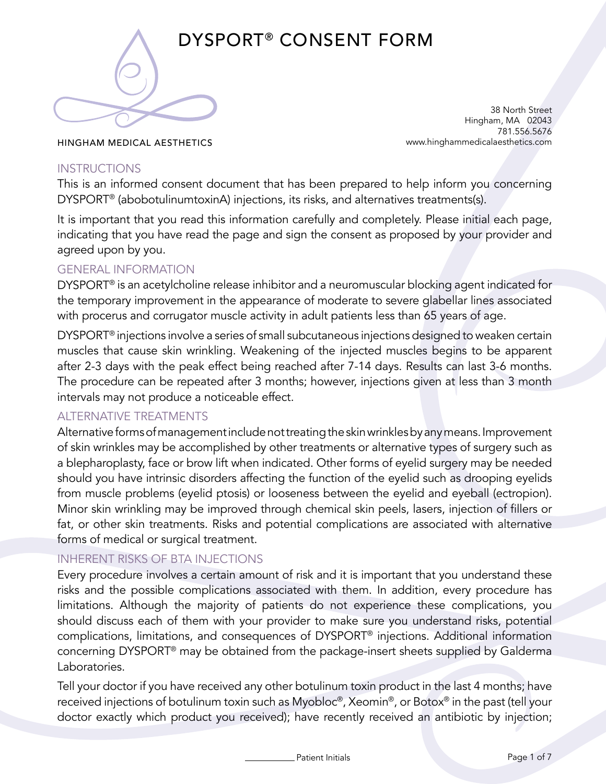

DYSPORT® CONSENT FORM

38 North Street Hingham, MA 02043 781.556.5676 www.hinghammedicalaesthetics.com

HINGHAM MEDICAL AESTHETICS

### **INSTRUCTIONS**

This is an informed consent document that has been prepared to help inform you concerning DYSPORT® (abobotulinumtoxinA) injections, its risks, and alternatives treatments(s).

It is important that you read this information carefully and completely. Please initial each page, indicating that you have read the page and sign the consent as proposed by your provider and agreed upon by you.

### GENERAL INFORMATION

DYSPORT® is an acetylcholine release inhibitor and a neuromuscular blocking agent indicated for the temporary improvement in the appearance of moderate to severe glabellar lines associated with procerus and corrugator muscle activity in adult patients less than 65 years of age.

DYSPORT® injections involve a series of small subcutaneous injections designed to weaken certain muscles that cause skin wrinkling. Weakening of the injected muscles begins to be apparent after 2-3 days with the peak effect being reached after 7-14 days. Results can last 3-6 months. The procedure can be repeated after 3 months; however, injections given at less than 3 month intervals may not produce a noticeable effect.

### ALTERNATIVE TREATMENTS

Alternative forms of management include not treating the skin wrinkles by any means. Improvement of skin wrinkles may be accomplished by other treatments or alternative types of surgery such as a blepharoplasty, face or brow lift when indicated. Other forms of eyelid surgery may be needed should you have intrinsic disorders affecting the function of the eyelid such as drooping eyelids from muscle problems (eyelid ptosis) or looseness between the eyelid and eyeball (ectropion). Minor skin wrinkling may be improved through chemical skin peels, lasers, injection of fillers or fat, or other skin treatments. Risks and potential complications are associated with alternative forms of medical or surgical treatment.

### INHERENT RISKS OF BTA INJECTIONS

Every procedure involves a certain amount of risk and it is important that you understand these risks and the possible complications associated with them. In addition, every procedure has limitations. Although the majority of patients do not experience these complications, you should discuss each of them with your provider to make sure you understand risks, potential complications, limitations, and consequences of DYSPORT® injections. Additional information concerning DYSPORT® may be obtained from the package-insert sheets supplied by Galderma Laboratories.

Tell your doctor if you have received any other botulinum toxin product in the last 4 months; have received injections of botulinum toxin such as Myobloc®, Xeomin®, or Botox® in the past (tell your doctor exactly which product you received); have recently received an antibiotic by injection;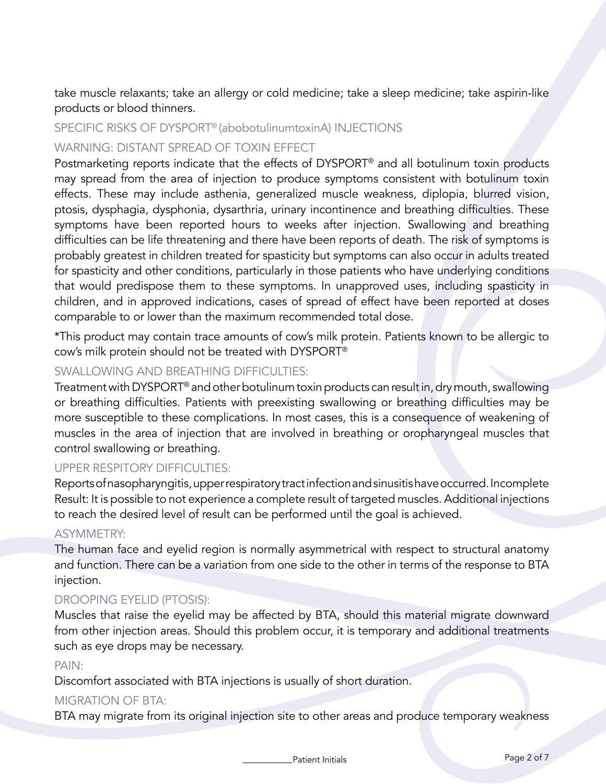take muscle relaxants; take an allergy or cold medicine; take a sleep medicine; take aspirin-like products or blood thinners.

#### SPECIFIC RISKS OF DYSPORT® (abobotulinumtoxinA) INJECTIONS

### WARNING: DISTANT SPREAD OF TOXIN EFFECT

Postmarketing reports indicate that the effects of DYSPORT® and all botulinum toxin products may spread from the area of injection to produce symptoms consistent with botulinum toxin effects. These may include asthenia, generalized muscle weakness, diplopia, blurred vision, ptosis, dysphagia, dysphonia, dysarthria, urinary incontinence and breathing difficulties. These symptoms have been reported hours to weeks after injection. Swallowing and breathing difficulties can be life threatening and there have been reports of death. The risk of symptoms is probably greatest in children treated for spasticity but symptoms can also occur in adults treated for spasticity and other conditions, particularly in those patients who have underlying conditions that would predispose them to these symptoms. In unapproved uses, including spasticity in children, and in approved indications, cases of spread of effect have been reported at doses comparable to or lower than the maximum recommended total dose.

\*This product may contain trace amounts of cow's milk protein. Patients known to be allergic to cow's milk protein should not be treated with DYSPORT®

# SWALLOWING AND BREATHING DIFFICULTIES:

Treatment with DYSPORT® and other botulinum toxin products can result in, dry mouth, swallowing or breathing difficulties. Patients with preexisting swallowing or breathing difficulties may be more susceptible to these complications. In most cases, this is a consequence of weakening of muscles in the area of injection that are involved in breathing or oropharyngeal muscles that control swallowing or breathing.

# UPPER RESPITORY DIFFICULTIES:

Reports of nasopharyngitis, upper respiratory tract infection and sinusitis have occurred. Incomplete Result: It is possible to not experience a complete result of targeted muscles. Additional injections to reach the desired level of result can be performed until the goal is achieved.

### ASYMMETRY:

The human face and eyelid region is normally asymmetrical with respect to structural anatomy and function. There can be a variation from one side to the other in terms of the response to BTA injection.

### DROOPING EYELID (PTOSIS):

Muscles that raise the eyelid may be affected by BTA, should this material migrate downward from other injection areas. Should this problem occur, it is temporary and additional treatments such as eye drops may be necessary.

#### PAIN:

Discomfort associated with BTA injections is usually of short duration.

### MIGRATION OF BTA:

BTA may migrate from its original injection site to other areas and produce temporary weakness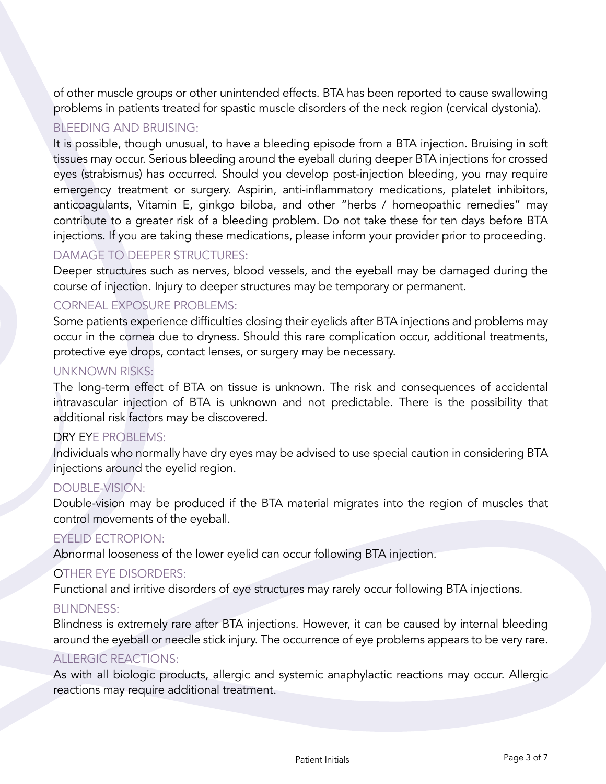of other muscle groups or other unintended effects. BTA has been reported to cause swallowing problems in patients treated for spastic muscle disorders of the neck region (cervical dystonia).

### BLEEDING AND BRUISING:

It is possible, though unusual, to have a bleeding episode from a BTA injection. Bruising in soft tissues may occur. Serious bleeding around the eyeball during deeper BTA injections for crossed eyes (strabismus) has occurred. Should you develop post-injection bleeding, you may require emergency treatment or surgery. Aspirin, anti-inflammatory medications, platelet inhibitors, anticoagulants, Vitamin E, ginkgo biloba, and other "herbs / homeopathic remedies" may contribute to a greater risk of a bleeding problem. Do not take these for ten days before BTA injections. If you are taking these medications, please inform your provider prior to proceeding.

# DAMAGE TO DEEPER STRUCTURES:

Deeper structures such as nerves, blood vessels, and the eyeball may be damaged during the course of injection. Injury to deeper structures may be temporary or permanent.

# CORNEAL EXPOSURE PROBLEMS:

Some patients experience difficulties closing their eyelids after BTA injections and problems may occur in the cornea due to dryness. Should this rare complication occur, additional treatments, protective eye drops, contact lenses, or surgery may be necessary.

### UNKNOWN RISKS:

The long-term effect of BTA on tissue is unknown. The risk and consequences of accidental intravascular injection of BTA is unknown and not predictable. There is the possibility that additional risk factors may be discovered.

### DRY EYE PROBLEMS:

Individuals who normally have dry eyes may be advised to use special caution in considering BTA injections around the eyelid region.

# DOUBLE-VISION:

Double-vision may be produced if the BTA material migrates into the region of muscles that control movements of the eyeball.

### EYELID ECTROPION:

Abnormal looseness of the lower eyelid can occur following BTA injection.

### OTHER EYE DISORDERS:

Functional and irritive disorders of eye structures may rarely occur following BTA injections.

### BLINDNESS:

Blindness is extremely rare after BTA injections. However, it can be caused by internal bleeding around the eyeball or needle stick injury. The occurrence of eye problems appears to be very rare.

### ALLERGIC REACTIONS:

As with all biologic products, allergic and systemic anaphylactic reactions may occur. Allergic reactions may require additional treatment.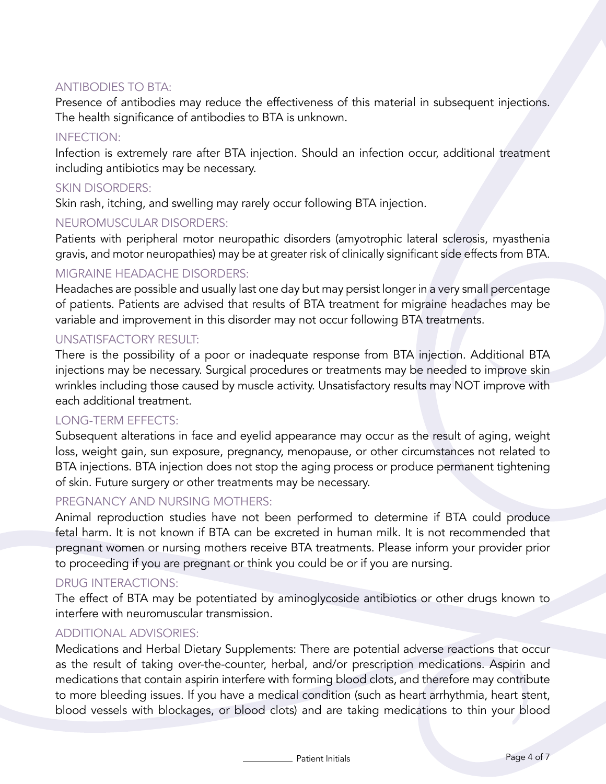### ANTIBODIES TO BTA:

Presence of antibodies may reduce the effectiveness of this material in subsequent injections. The health significance of antibodies to BTA is unknown.

### INFECTION:

Infection is extremely rare after BTA injection. Should an infection occur, additional treatment including antibiotics may be necessary.

### SKIN DISORDERS:

Skin rash, itching, and swelling may rarely occur following BTA injection.

### NEUROMUSCULAR DISORDERS:

Patients with peripheral motor neuropathic disorders (amyotrophic lateral sclerosis, myasthenia gravis, and motor neuropathies) may be at greater risk of clinically significant side effects from BTA.

### MIGRAINE HEADACHE DISORDERS:

Headaches are possible and usually last one day but may persist longer in a very small percentage of patients. Patients are advised that results of BTA treatment for migraine headaches may be variable and improvement in this disorder may not occur following BTA treatments.

#### UNSATISFACTORY RESULT:

There is the possibility of a poor or inadequate response from BTA injection. Additional BTA injections may be necessary. Surgical procedures or treatments may be needed to improve skin wrinkles including those caused by muscle activity. Unsatisfactory results may NOT improve with each additional treatment.

#### LONG-TERM EFFECTS:

Subsequent alterations in face and eyelid appearance may occur as the result of aging, weight loss, weight gain, sun exposure, pregnancy, menopause, or other circumstances not related to BTA injections. BTA injection does not stop the aging process or produce permanent tightening of skin. Future surgery or other treatments may be necessary.

### PREGNANCY AND NURSING MOTHERS:

Animal reproduction studies have not been performed to determine if BTA could produce fetal harm. It is not known if BTA can be excreted in human milk. It is not recommended that pregnant women or nursing mothers receive BTA treatments. Please inform your provider prior to proceeding if you are pregnant or think you could be or if you are nursing.

### DRUG INTERACTIONS:

The effect of BTA may be potentiated by aminoglycoside antibiotics or other drugs known to interfere with neuromuscular transmission.

#### ADDITIONAL ADVISORIES:

Medications and Herbal Dietary Supplements: There are potential adverse reactions that occur as the result of taking over-the-counter, herbal, and/or prescription medications. Aspirin and medications that contain aspirin interfere with forming blood clots, and therefore may contribute to more bleeding issues. If you have a medical condition (such as heart arrhythmia, heart stent, blood vessels with blockages, or blood clots) and are taking medications to thin your blood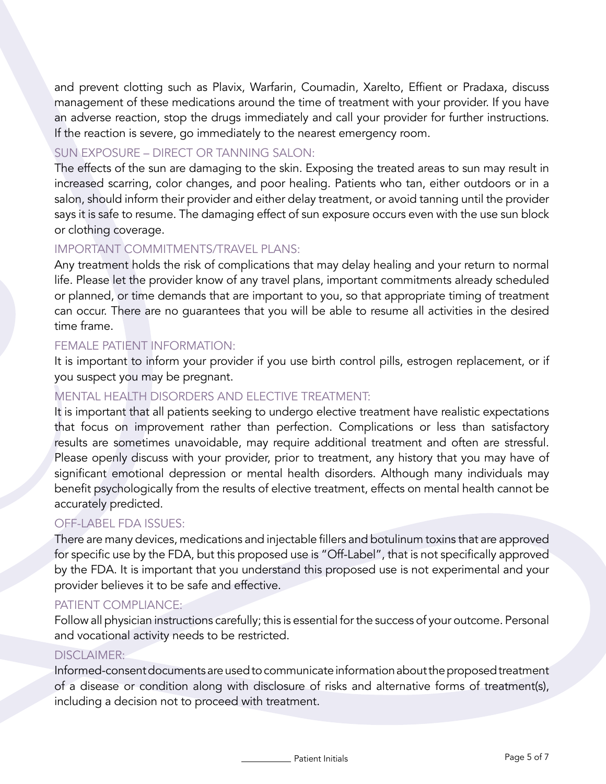and prevent clotting such as Plavix, Warfarin, Coumadin, Xarelto, Effient or Pradaxa, discuss management of these medications around the time of treatment with your provider. If you have an adverse reaction, stop the drugs immediately and call your provider for further instructions. If the reaction is severe, go immediately to the nearest emergency room.

## SUN EXPOSURE – DIRECT OR TANNING SALON:

The effects of the sun are damaging to the skin. Exposing the treated areas to sun may result in increased scarring, color changes, and poor healing. Patients who tan, either outdoors or in a salon, should inform their provider and either delay treatment, or avoid tanning until the provider says it is safe to resume. The damaging effect of sun exposure occurs even with the use sun block or clothing coverage.

### IMPORTANT COMMITMENTS/TRAVEL PLANS:

Any treatment holds the risk of complications that may delay healing and your return to normal life. Please let the provider know of any travel plans, important commitments already scheduled or planned, or time demands that are important to you, so that appropriate timing of treatment can occur. There are no guarantees that you will be able to resume all activities in the desired time frame.

### FEMALE PATIENT INFORMATION:

It is important to inform your provider if you use birth control pills, estrogen replacement, or if you suspect you may be pregnant.

## MENTAL HEALTH DISORDERS AND ELECTIVE TREATMENT:

It is important that all patients seeking to undergo elective treatment have realistic expectations that focus on improvement rather than perfection. Complications or less than satisfactory results are sometimes unavoidable, may require additional treatment and often are stressful. Please openly discuss with your provider, prior to treatment, any history that you may have of significant emotional depression or mental health disorders. Although many individuals may benefit psychologically from the results of elective treatment, effects on mental health cannot be accurately predicted.

### OFF-LABEL FDA ISSUES:

There are many devices, medications and injectable fillers and botulinum toxins that are approved for specific use by the FDA, but this proposed use is "Off-Label", that is not specifically approved by the FDA. It is important that you understand this proposed use is not experimental and your provider believes it to be safe and effective.

### PATIENT COMPI IANCE:

Follow all physician instructions carefully; this is essential for the success of your outcome. Personal and vocational activity needs to be restricted.

### DISCI AIMFR:

Informed-consent documents are used to communicate information about the proposed treatment of a disease or condition along with disclosure of risks and alternative forms of treatment(s), including a decision not to proceed with treatment.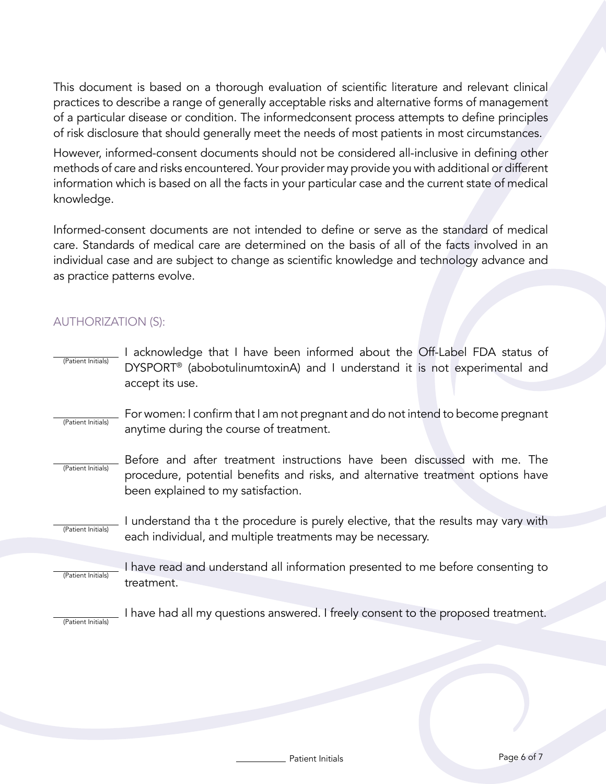This document is based on a thorough evaluation of scientific literature and relevant clinical practices to describe a range of generally acceptable risks and alternative forms of management of a particular disease or condition. The informedconsent process attempts to define principles of risk disclosure that should generally meet the needs of most patients in most circumstances.

However, informed-consent documents should not be considered all-inclusive in defining other methods of care and risks encountered. Your provider may provide you with additional or different information which is based on all the facts in your particular case and the current state of medical knowledge.

Informed-consent documents are not intended to define or serve as the standard of medical care. Standards of medical care are determined on the basis of all of the facts involved in an individual case and are subject to change as scientific knowledge and technology advance and as practice patterns evolve.

# AUTHORIZATION (S):

- (Patient Initials) I acknowledge that I have been informed about the Off-Label FDA status of DYSPORT® (abobotulinumtoxinA) and I understand it is not experimental and accept its use.
- (Patient Initials) For women: I confirm that I am not pregnant and do not intend to become pregnant anytime during the course of treatment.
- (Patient Initials) Before and after treatment instructions have been discussed with me. The procedure, potential benefits and risks, and alternative treatment options have been explained to my satisfaction.

(Patient Initials) I understand tha t the procedure is purely elective, that the results may vary with each individual, and multiple treatments may be necessary.

(Patient Initials) I have read and understand all information presented to me before consenting to treatment.

I have had all my questions answered. I freely consent to the proposed treatment.

(Patient Initials)